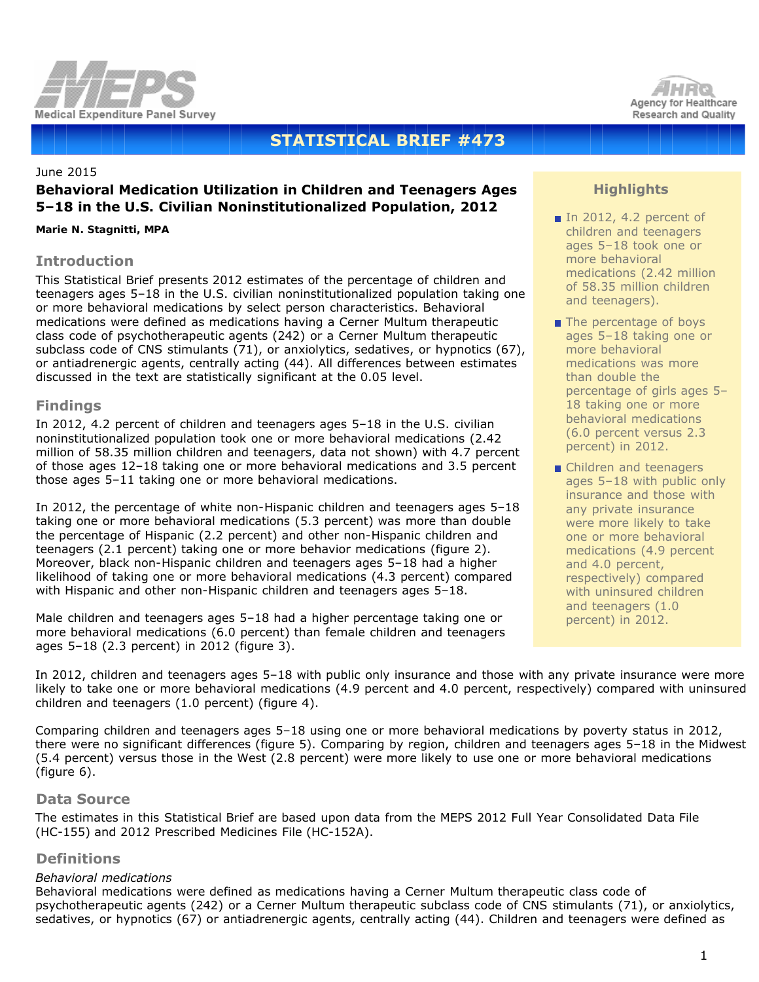



# **STATISTICAL BRIEF #473**

#### June 2015

# **Behavioral Medication Utilization in Children and Teenagers Ages 5–18 in the U.S. Civilian Noninstitutionalized Population, 2012**

#### *Marie N. Stagnitti, MPA*

# **Introduction**

This Statistical Brief presents 2012 estimates of the percentage of children and teenagers ages 5–18 in the U.S. civilian noninstitutionalized population taking one or more behavioral medications by select person characteristics. Behavioral medications were defined as medications having a Cerner Multum therapeutic class code of psychotherapeutic agents (242) or a Cerner Multum therapeutic subclass code of CNS stimulants (71), or anxiolytics, sedatives, or hypnotics (67), or antiadrenergic agents, centrally acting (44). All differences between estimates discussed in the text are statistically significant at the 0.05 level.

# **Findings**

In 2012, 4.2 percent of children and teenagers ages 5–18 in the U.S. civilian noninstitutionalized population took one or more behavioral medications (2.42 million of 58.35 million children and teenagers, data not shown) with 4.7 percent of those ages 12–18 taking one or more behavioral medications and 3.5 percent those ages 5–11 taking one or more behavioral medications.

In 2012, the percentage of white non-Hispanic children and teenagers ages 5–18 taking one or more behavioral medications (5.3 percent) was more than double the percentage of Hispanic (2.2 percent) and other non-Hispanic children and teenagers (2.1 percent) taking one or more behavior medications (figure 2). Moreover, black non-Hispanic children and teenagers ages 5–18 had a higher likelihood of taking one or more behavioral medications (4.3 percent) compared with Hispanic and other non-Hispanic children and teenagers ages 5–18.

Male children and teenagers ages 5–18 had a higher percentage taking one or more behavioral medications (6.0 percent) than female children and teenagers ages 5–18 (2.3 percent) in 2012 (figure 3).

# **Highlights**

- In 2012, 4.2 percent of children and teenagers ages 5–18 took one or more behavioral medications (2.42 million of 58.35 million children and teenagers).
- The percentage of boys ages 5–18 taking one or more behavioral medications was more than double the percentage of girls ages 5– 18 taking one or more behavioral medications (6.0 percent versus 2.3 percent) in 2012.
- Children and teenagers ages 5–18 with public only insurance and those with any private insurance were more likely to take one or more behavioral medications (4.9 percent and 4.0 percent, respectively) compared with uninsured children and teenagers (1.0 percent) in 2012.

In 2012, children and teenagers ages 5–18 with public only insurance and those with any private insurance were more likely to take one or more behavioral medications (4.9 percent and 4.0 percent, respectively) compared with uninsured children and teenagers (1.0 percent) (figure 4).

Comparing children and teenagers ages 5–18 using one or more behavioral medications by poverty status in 2012, there were no significant differences (figure 5). Comparing by region, children and teenagers ages 5–18 in the Midwest (5.4 percent) versus those in the West (2.8 percent) were more likely to use one or more behavioral medications (figure 6).

#### **Data Source**

The estimates in this Statistical Brief are based upon data from the MEPS 2012 Full Year Consolidated Data File (HC-155) and 2012 Prescribed Medicines File (HC-152A).

# **Definitions**

# *Behavioral medications*

Behavioral medications were defined as medications having a Cerner Multum therapeutic class code of psychotherapeutic agents (242) or a Cerner Multum therapeutic subclass code of CNS stimulants (71), or anxiolytics, sedatives, or hypnotics (67) or antiadrenergic agents, centrally acting (44). Children and teenagers were defined as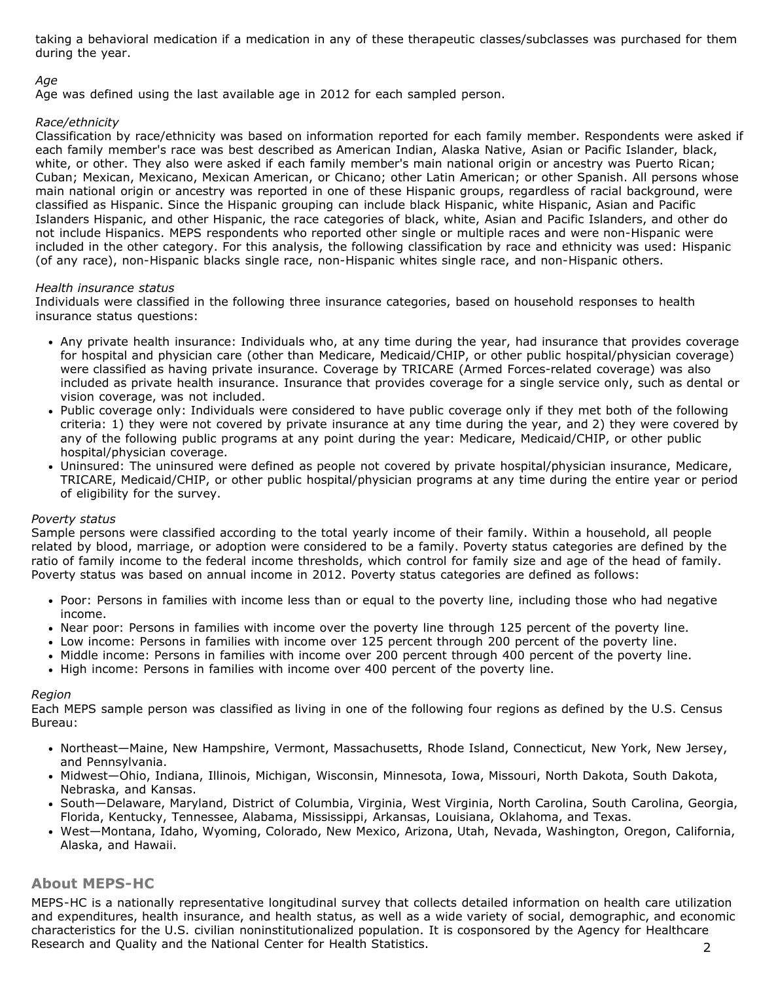taking a behavioral medication if a medication in any of these therapeutic classes/subclasses was purchased for them during the year.

# *Age*

Age was defined using the last available age in 2012 for each sampled person.

#### *Race/ethnicity*

Classification by race/ethnicity was based on information reported for each family member. Respondents were asked if each family member's race was best described as American Indian, Alaska Native, Asian or Pacific Islander, black, white, or other. They also were asked if each family member's main national origin or ancestry was Puerto Rican; Cuban; Mexican, Mexicano, Mexican American, or Chicano; other Latin American; or other Spanish. All persons whose main national origin or ancestry was reported in one of these Hispanic groups, regardless of racial background, were classified as Hispanic. Since the Hispanic grouping can include black Hispanic, white Hispanic, Asian and Pacific Islanders Hispanic, and other Hispanic, the race categories of black, white, Asian and Pacific Islanders, and other do not include Hispanics. MEPS respondents who reported other single or multiple races and were non-Hispanic were included in the other category. For this analysis, the following classification by race and ethnicity was used: Hispanic (of any race), non-Hispanic blacks single race, non-Hispanic whites single race, and non-Hispanic others.

#### *Health insurance status*

Individuals were classified in the following three insurance categories, based on household responses to health insurance status questions:

- Any private health insurance: Individuals who, at any time during the year, had insurance that provides coverage for hospital and physician care (other than Medicare, Medicaid/CHIP, or other public hospital/physician coverage) were classified as having private insurance. Coverage by TRICARE (Armed Forces-related coverage) was also included as private health insurance. Insurance that provides coverage for a single service only, such as dental or vision coverage, was not included.
- Public coverage only: Individuals were considered to have public coverage only if they met both of the following criteria: 1) they were not covered by private insurance at any time during the year, and 2) they were covered by any of the following public programs at any point during the year: Medicare, Medicaid/CHIP, or other public hospital/physician coverage.
- Uninsured: The uninsured were defined as people not covered by private hospital/physician insurance, Medicare, TRICARE, Medicaid/CHIP, or other public hospital/physician programs at any time during the entire year or period of eligibility for the survey.

#### *Poverty status*

Sample persons were classified according to the total yearly income of their family. Within a household, all people related by blood, marriage, or adoption were considered to be a family. Poverty status categories are defined by the ratio of family income to the federal income thresholds, which control for family size and age of the head of family. Poverty status was based on annual income in 2012. Poverty status categories are defined as follows:

- Poor: Persons in families with income less than or equal to the poverty line, including those who had negative income.
- Near poor: Persons in families with income over the poverty line through 125 percent of the poverty line.
- Low income: Persons in families with income over 125 percent through 200 percent of the poverty line.
- Middle income: Persons in families with income over 200 percent through 400 percent of the poverty line.
- High income: Persons in families with income over 400 percent of the poverty line.

#### *Region*

Each MEPS sample person was classified as living in one of the following four regions as defined by the U.S. Census Bureau:

- Northeast—Maine, New Hampshire, Vermont, Massachusetts, Rhode Island, Connecticut, New York, New Jersey, and Pennsylvania.
- Midwest—Ohio, Indiana, Illinois, Michigan, Wisconsin, Minnesota, Iowa, Missouri, North Dakota, South Dakota, Nebraska, and Kansas.
- South—Delaware, Maryland, District of Columbia, Virginia, West Virginia, North Carolina, South Carolina, Georgia, Florida, Kentucky, Tennessee, Alabama, Mississippi, Arkansas, Louisiana, Oklahoma, and Texas.
- West—Montana, Idaho, Wyoming, Colorado, New Mexico, Arizona, Utah, Nevada, Washington, Oregon, California, Alaska, and Hawaii.

# **About MEPS-HC**

2 MEPS-HC is a nationally representative longitudinal survey that collects detailed information on health care utilization and expenditures, health insurance, and health status, as well as a wide variety of social, demographic, and economic characteristics for the U.S. civilian noninstitutionalized population. It is cosponsored by the Agency for Healthcare Research and Quality and the National Center for Health Statistics.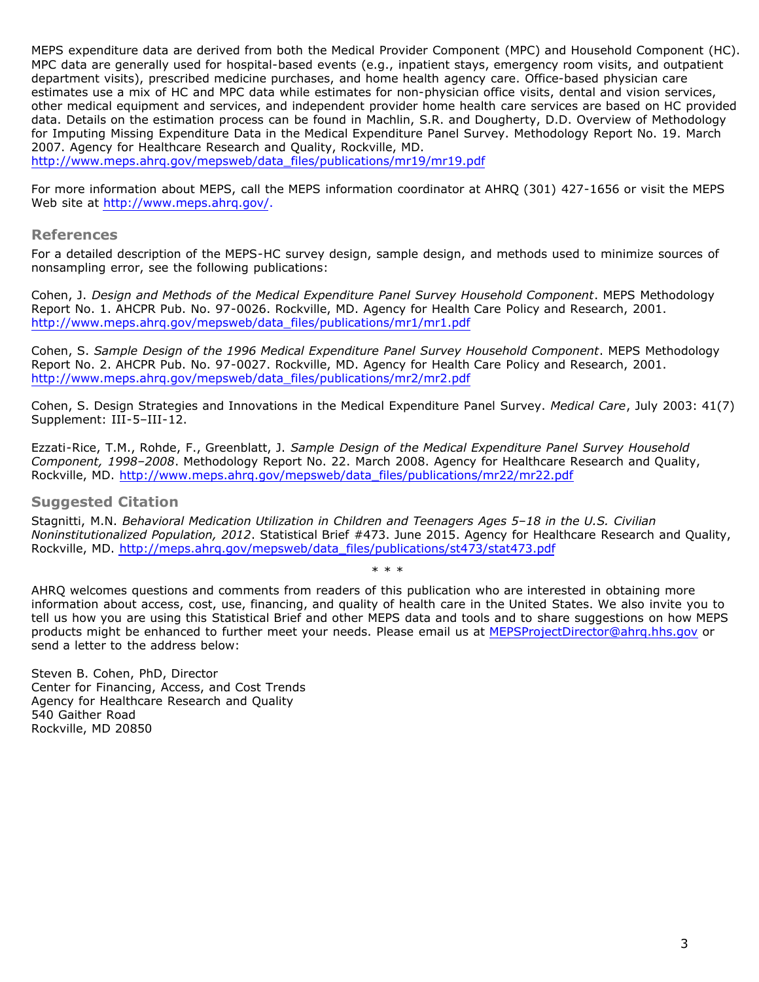MEPS expenditure data are derived from both the Medical Provider Component (MPC) and Household Component (HC). MPC data are generally used for hospital-based events (e.g., inpatient stays, emergency room visits, and outpatient department visits), prescribed medicine purchases, and home health agency care. Office-based physician care estimates use a mix of HC and MPC data while estimates for non-physician office visits, dental and vision services, other medical equipment and services, and independent provider home health care services are based on HC provided data. Details on the estimation process can be found in Machlin, S.R. and Dougherty, D.D. Overview of Methodology for Imputing Missing Expenditure Data in the Medical Expenditure Panel Survey. Methodology Report No. 19. March 2007. Agency for Healthcare Research and Quality, Rockville, MD.

[http://www.meps.ahrq.gov/mepsweb/data\\_files/publications/mr19/mr19.pdf](http://www.meps.ahrq.gov/mepsweb/data_files/publications/mr19/mr19.pdf)

For more information about MEPS, call the MEPS information coordinator at AHRQ (301) 427-1656 or visit the MEPS Web site at [http://www.meps.ahrq.gov/.](http://www.meps.ahrq.gov/)

#### **References**

For a detailed description of the MEPS-HC survey design, sample design, and methods used to minimize sources of nonsampling error, see the following publications:

Cohen, J. *Design and Methods of the Medical Expenditure Panel Survey Household Component*. MEPS Methodology Report No. 1. AHCPR Pub. No. 97-0026. Rockville, MD. Agency for Health Care Policy and Research, 2001. [http://www.meps.ahrq.gov/mepsweb/data\\_files/publications/mr1/mr1.pdf](http://www.meps.ahrq.gov/mepsweb/data_files/publications/mr1/mr1.pdf)

Cohen, S. *Sample Design of the 1996 Medical Expenditure Panel Survey Household Component*. MEPS Methodology Report No. 2. AHCPR Pub. No. 97-0027. Rockville, MD. Agency for Health Care Policy and Research, 2001. [http://www.meps.ahrq.gov/mepsweb/data\\_files/publications/mr2/mr2.pdf](http://www.meps.ahrq.gov/mepsweb/data_files/publications/mr2/mr2.pdf)

Cohen, S. Design Strategies and Innovations in the Medical Expenditure Panel Survey. *Medical Care*, July 2003: 41(7) Supplement: III-5–III-12.

Ezzati-Rice, T.M., Rohde, F., Greenblatt, J. *Sample Design of the Medical Expenditure Panel Survey Household Component, 1998–2008*. Methodology Report No. 22. March 2008. Agency for Healthcare Research and Quality, Rockville, MD. [http://www.meps.ahrq.gov/mepsweb/data\\_files/publications/mr22/mr22.pdf](http://www.meps.ahrq.gov/mepsweb/data_files/publications/mr22/mr22.pdf)

#### **Suggested Citation**

Stagnitti, M.N. *Behavioral Medication Utilization in Children and Teenagers Ages 5–18 in the U.S. Civilian Noninstitutionalized Population, 2012*. Statistical Brief #473. June 2015. Agency for Healthcare Research and Quality, Rockville, MD. [http://meps.ahrq.gov/mepsweb/data\\_files/publications/st473/stat473.pdf](http://meps.ahrq.gov/mepsweb/data_files/publications/st473/stat473.pdf)

\* \* \*

AHRQ welcomes questions and comments from readers of this publication who are interested in obtaining more information about access, cost, use, financing, and quality of health care in the United States. We also invite you to tell us how you are using this Statistical Brief and other MEPS data and tools and to share suggestions on how MEPS products might be enhanced to further meet your needs. Please email us at [MEPSProjectDirector@ahrq.hhs.gov](mailto:MEPSProjectDirector@ahrq.hhs.gov) or send a letter to the address below:

Steven B. Cohen, PhD, Director Center for Financing, Access, and Cost Trends Agency for Healthcare Research and Quality 540 Gaither Road Rockville, MD 20850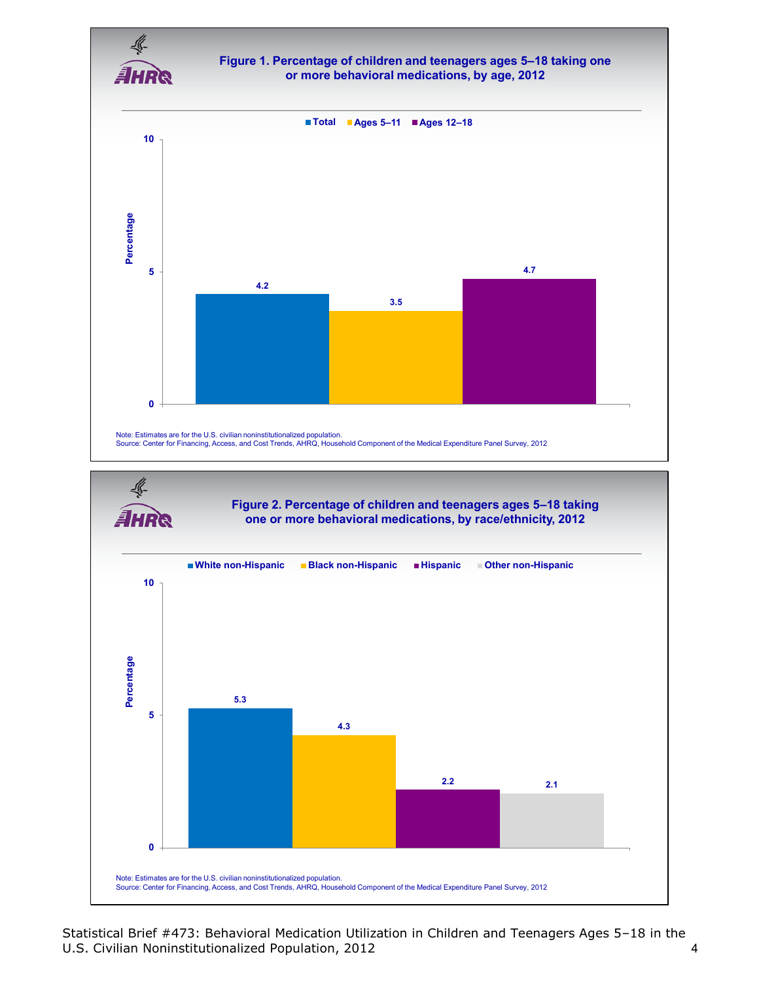

Statistical Brief #473: Behavioral Medication Utilization in Children and Teenagers Ages 5–18 in the U.S. Civilian Noninstitutionalized Population, 2012 4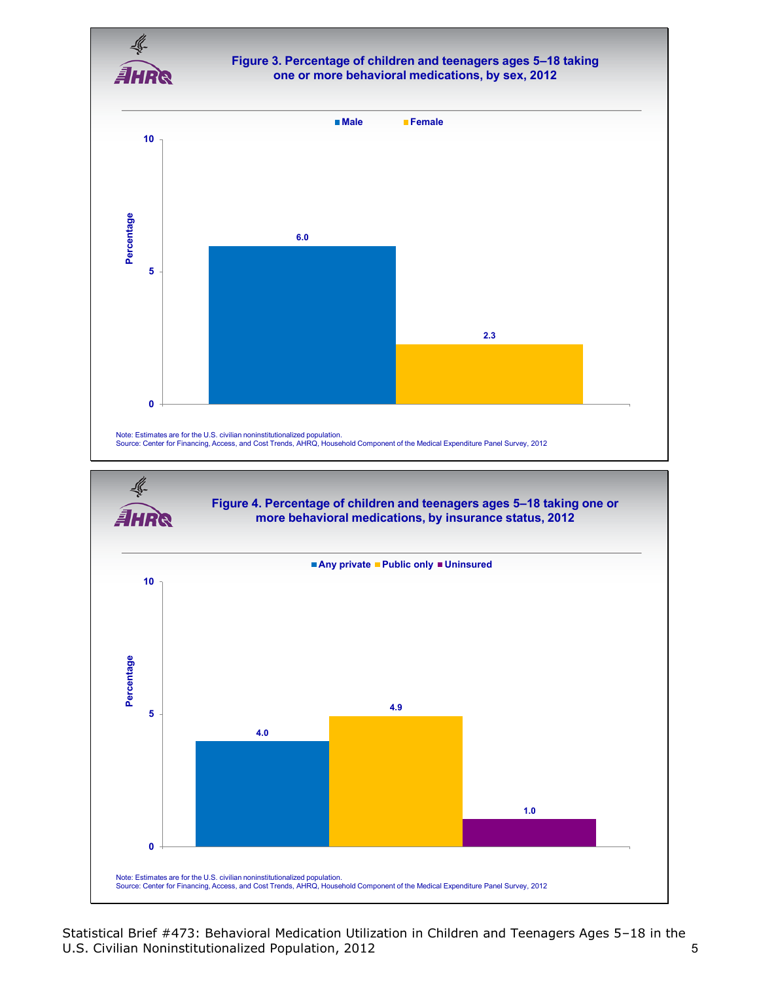

#### **Figure 3. Percentage of children and teenagers ages 5–18 taking one or more behavioral medications, by sex, 2012**



Statistical Brief #473: Behavioral Medication Utilization in Children and Teenagers Ages 5–18 in the U.S. Civilian Noninstitutionalized Population, 2012